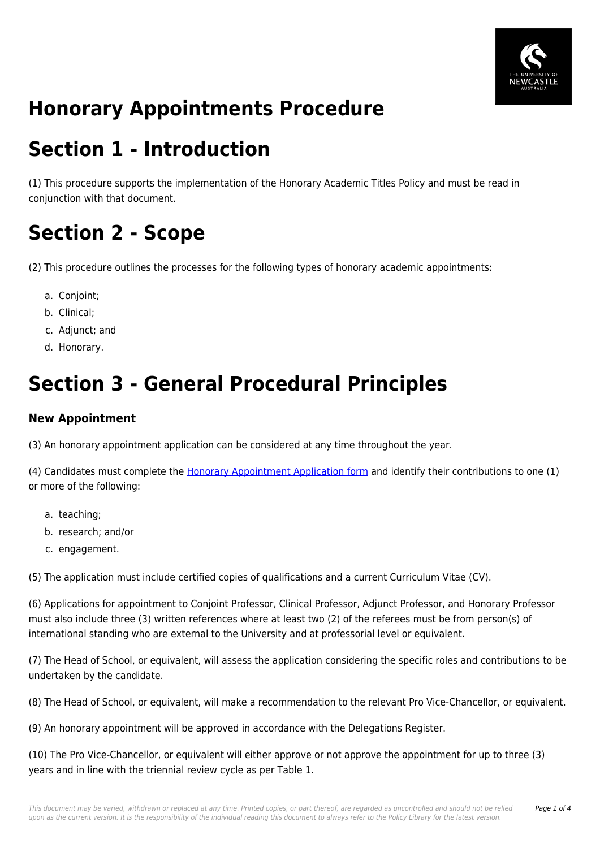

# **Honorary Appointments Procedure**

## **Section 1 - Introduction**

(1) This procedure supports the implementation of the Honorary Academic Titles Policy and must be read in conjunction with that document.

# **Section 2 - Scope**

(2) This procedure outlines the processes for the following types of honorary academic appointments:

- a. Conioint:
- b. Clinical;
- c. Adjunct; and
- d. Honorary.

# **Section 3 - General Procedural Principles**

#### **New Appointment**

(3) An honorary appointment application can be considered at any time throughout the year.

(4) Candidates must complete the [Honorary Appointment Application form](https://policies.newcastle.edu.au/download.php?id=208&version=5&associated) and identify their contributions to one (1) or more of the following:

- a. teaching;
- b. research; and/or
- c. engagement.

(5) The application must include certified copies of qualifications and a current Curriculum Vitae (CV).

(6) Applications for appointment to Conjoint Professor, Clinical Professor, Adjunct Professor, and Honorary Professor must also include three (3) written references where at least two (2) of the referees must be from person(s) of international standing who are external to the University and at professorial level or equivalent.

(7) The Head of School, or equivalent, will assess the application considering the specific roles and contributions to be undertaken by the candidate.

(8) The Head of School, or equivalent, will make a recommendation to the relevant Pro Vice-Chancellor, or equivalent.

(9) An honorary appointment will be approved in accordance with the Delegations Register.

(10) The Pro Vice-Chancellor, or equivalent will either approve or not approve the appointment for up to three (3) years and in line with the triennial review cycle as per Table 1.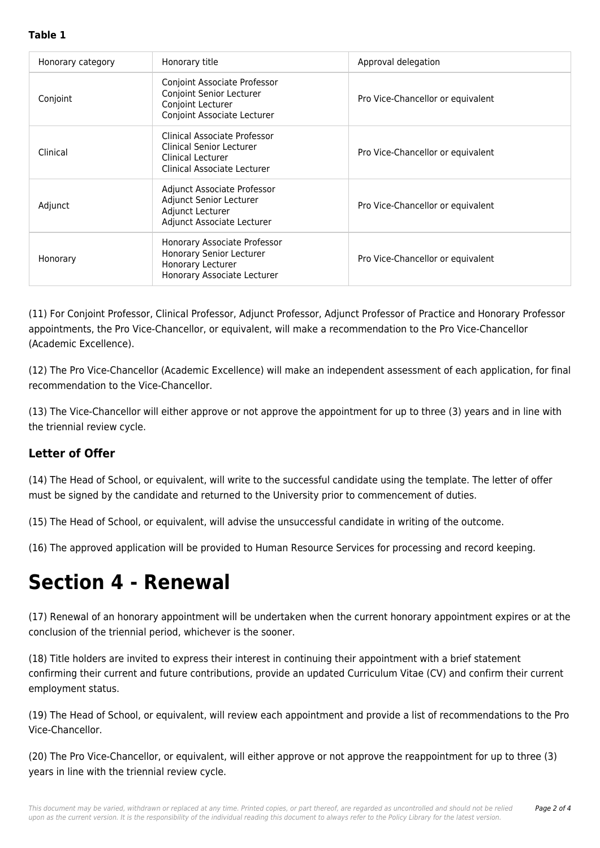#### **Table 1**

| Honorary category | Honorary title                                                                                                      | Approval delegation               |
|-------------------|---------------------------------------------------------------------------------------------------------------------|-----------------------------------|
| Conjoint          | Conjoint Associate Professor<br><b>Conjoint Senior Lecturer</b><br>Conjoint Lecturer<br>Conjoint Associate Lecturer | Pro Vice-Chancellor or equivalent |
| Clinical          | Clinical Associate Professor<br>Clinical Senior Lecturer<br>Clinical Lecturer<br>Clinical Associate Lecturer        | Pro Vice-Chancellor or equivalent |
| Adjunct           | Adjunct Associate Professor<br>Adjunct Senior Lecturer<br>Adjunct Lecturer<br>Adjunct Associate Lecturer            | Pro Vice-Chancellor or equivalent |
| Honorary          | Honorary Associate Professor<br><b>Honorary Senior Lecturer</b><br>Honorary Lecturer<br>Honorary Associate Lecturer | Pro Vice-Chancellor or equivalent |

(11) For Conjoint Professor, Clinical Professor, Adjunct Professor, Adjunct Professor of Practice and Honorary Professor appointments, the Pro Vice-Chancellor, or equivalent, will make a recommendation to the Pro Vice-Chancellor (Academic Excellence).

(12) The Pro Vice-Chancellor (Academic Excellence) will make an independent assessment of each application, for final recommendation to the Vice-Chancellor.

(13) The Vice-Chancellor will either approve or not approve the appointment for up to three (3) years and in line with the triennial review cycle.

### **Letter of Offer**

(14) The Head of School, or equivalent, will write to the successful candidate using the template. The letter of offer must be signed by the candidate and returned to the University prior to commencement of duties.

(15) The Head of School, or equivalent, will advise the unsuccessful candidate in writing of the outcome.

(16) The approved application will be provided to Human Resource Services for processing and record keeping.

## **Section 4 - Renewal**

(17) Renewal of an honorary appointment will be undertaken when the current honorary appointment expires or at the conclusion of the triennial period, whichever is the sooner.

(18) Title holders are invited to express their interest in continuing their appointment with a brief statement confirming their current and future contributions, provide an updated Curriculum Vitae (CV) and confirm their current employment status.

(19) The Head of School, or equivalent, will review each appointment and provide a list of recommendations to the Pro Vice-Chancellor.

(20) The Pro Vice-Chancellor, or equivalent, will either approve or not approve the reappointment for up to three (3) years in line with the triennial review cycle.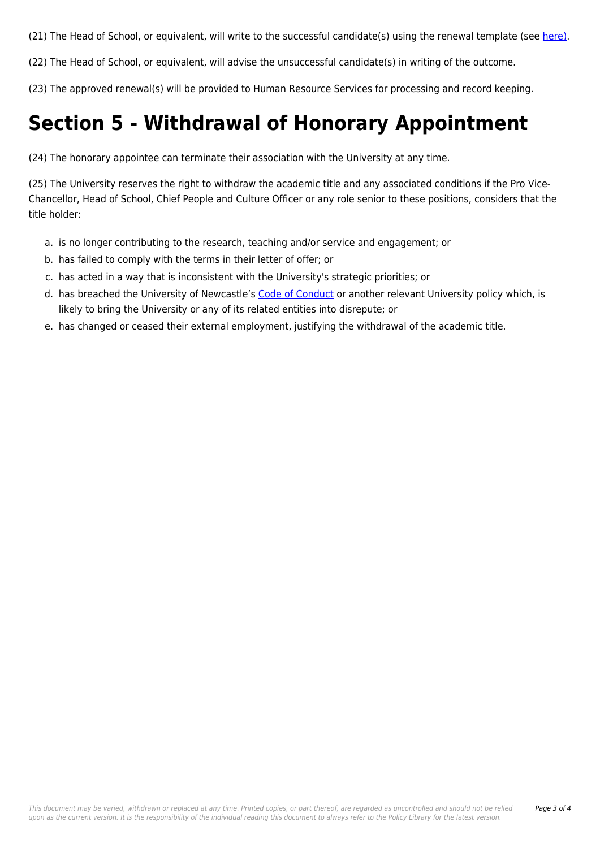(21) The Head of School, or equivalent, will write to the successful candidate(s) using the renewal template (see [here\).](https://policies.newcastle.edu.au/download.php?id=677&version=1&associated)

(22) The Head of School, or equivalent, will advise the unsuccessful candidate(s) in writing of the outcome.

(23) The approved renewal(s) will be provided to Human Resource Services for processing and record keeping.

# **Section 5 - Withdrawal of Honorary Appointment**

(24) The honorary appointee can terminate their association with the University at any time.

(25) The University reserves the right to withdraw the academic title and any associated conditions if the Pro Vice-Chancellor, Head of School, Chief People and Culture Officer or any role senior to these positions, considers that the title holder:

- a. is no longer contributing to the research, teaching and/or service and engagement; or
- b. has failed to comply with the terms in their letter of offer; or
- c. has acted in a way that is inconsistent with the University's strategic priorities; or
- d. has breached the University of Newcastle's [Code of Conduct](https://policies.newcastle.edu.au/document/view-current.php?id=204) or another relevant University policy which, is likely to bring the University or any of its related entities into disrepute; or
- e. has changed or ceased their external employment, justifying the withdrawal of the academic title.